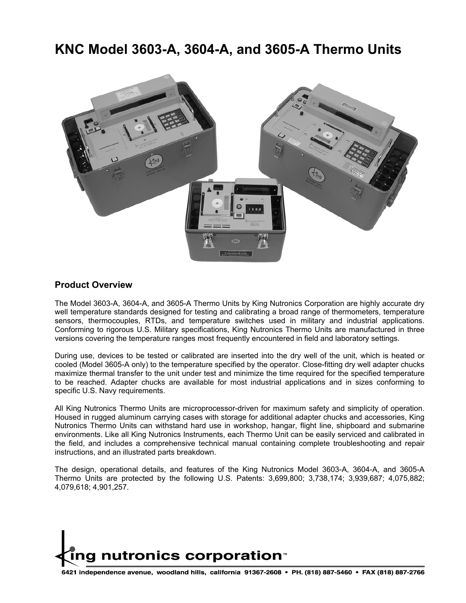# **KNC Model 3603-A, 3604-A, and 3605-A Thermo Units**



#### **Product Overview**

The Model 3603-A, 3604-A, and 3605-A Thermo Units by King Nutronics Corporation are highly accurate dry well temperature standards designed for testing and calibrating a broad range of thermometers, temperature sensors, thermocouples, RTDs, and temperature switches used in military and industrial applications. Conforming to rigorous U.S. Military specifications, King Nutronics Thermo Units are manufactured in three versions covering the temperature ranges most frequently encountered in field and laboratory settings.

During use, devices to be tested or calibrated are inserted into the dry well of the unit, which is heated or cooled (Model 3605-A only) to the temperature specified by the operator. Close-fitting dry well adapter chucks maximize thermal transfer to the unit under test and minimize the time required for the specified temperature to be reached. Adapter chucks are available for most industrial applications and in sizes conforming to specific U.S. Navy requirements.

All King Nutronics Thermo Units are microprocessor-driven for maximum safety and simplicity of operation. Housed in rugged aluminum carrying cases with storage for additional adapter chucks and accessories, King Nutronics Thermo Units can withstand hard use in workshop, hangar, flight line, shipboard and submarine environments. Like all King Nutronics Instruments, each Thermo Unit can be easily serviced and calibrated in the field, and includes a comprehensive technical manual containing complete troubleshooting and repair instructions, and an illustrated parts breakdown.

The design, operational details, and features of the King Nutronics Model 3603-A, 3604-A, and 3605-A Thermo Units are protected by the following U.S. Patents: 3,699,800; 3,738,174; 3,939,687; 4,075,882; 4,079,618; 4,901,257.

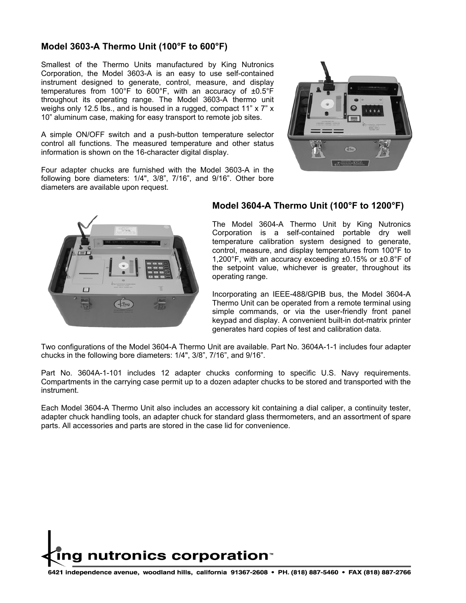### **Model 3603-A Thermo Unit (100°F to 600°F)**

Smallest of the Thermo Units manufactured by King Nutronics Corporation, the Model 3603-A is an easy to use self-contained instrument designed to generate, control, measure, and display temperatures from 100°F to 600°F, with an accuracy of ±0.5°F throughout its operating range. The Model 3603-A thermo unit weighs only 12.5 lbs., and is housed in a rugged, compact 11" x 7" x 10" aluminum case, making for easy transport to remote job sites.

A simple ON/OFF switch and a push-button temperature selector control all functions. The measured temperature and other status information is shown on the 16-character digital display.

Four adapter chucks are furnished with the Model 3603-A in the following bore diameters: 1/4", 3/8", 7/16", and 9/16". Other bore diameters are available upon request.





#### **Model 3604-A Thermo Unit (100°F to 1200°F)**

The Model 3604-A Thermo Unit by King Nutronics Corporation is a self-contained portable dry well temperature calibration system designed to generate, control, measure, and display temperatures from 100°F to 1,200°F, with an accuracy exceeding ±0.15% or ±0.8°F of the setpoint value, whichever is greater, throughout its operating range.

Incorporating an IEEE-488/GPIB bus, the Model 3604-A Thermo Unit can be operated from a remote terminal using simple commands, or via the user-friendly front panel keypad and display. A convenient built-in dot-matrix printer generates hard copies of test and calibration data.

Two configurations of the Model 3604-A Thermo Unit are available. Part No. 3604A-1-1 includes four adapter chucks in the following bore diameters: 1/4", 3/8", 7/16", and 9/16".

Part No. 3604A-1-101 includes 12 adapter chucks conforming to specific U.S. Navy requirements. Compartments in the carrying case permit up to a dozen adapter chucks to be stored and transported with the instrument.

Each Model 3604-A Thermo Unit also includes an accessory kit containing a dial caliper, a continuity tester, adapter chuck handling tools, an adapter chuck for standard glass thermometers, and an assortment of spare parts. All accessories and parts are stored in the case lid for convenience.

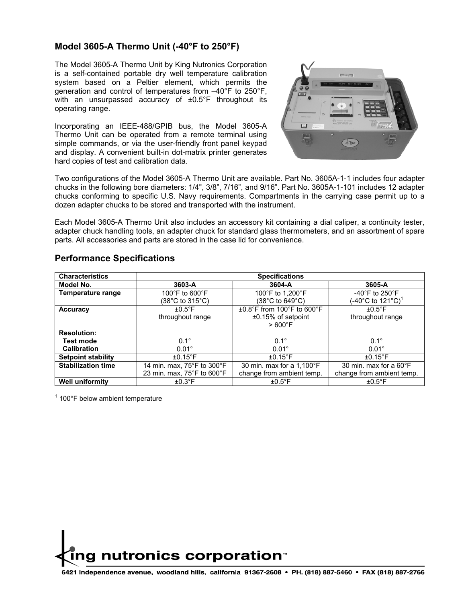### **Model 3605-A Thermo Unit (-40°F to 250°F)**

The Model 3605-A Thermo Unit by King Nutronics Corporation is a self-contained portable dry well temperature calibration system based on a Peltier element, which permits the generation and control of temperatures from –40°F to 250°F, with an unsurpassed accuracy of ±0.5°F throughout its operating range.

Incorporating an IEEE-488/GPIB bus, the Model 3605-A Thermo Unit can be operated from a remote terminal using simple commands, or via the user-friendly front panel keypad and display. A convenient built-in dot-matrix printer generates hard copies of test and calibration data.



Two configurations of the Model 3605-A Thermo Unit are available. Part No. 3605A-1-1 includes four adapter chucks in the following bore diameters: 1/4", 3/8", 7/16", and 9/16". Part No. 3605A-1-101 includes 12 adapter chucks conforming to specific U.S. Navy requirements. Compartments in the carrying case permit up to a dozen adapter chucks to be stored and transported with the instrument.

Each Model 3605-A Thermo Unit also includes an accessory kit containing a dial caliper, a continuity tester, adapter chuck handling tools, an adapter chuck for standard glass thermometers, and an assortment of spare parts. All accessories and parts are stored in the case lid for convenience.

| <b>Characteristics</b>    | <b>Specifications</b>                           |                                    |                                    |  |
|---------------------------|-------------------------------------------------|------------------------------------|------------------------------------|--|
| Model No.                 | 3603-A                                          | 3604-A                             | 3605-A                             |  |
| <b>Temperature range</b>  | 100 $\degree$ F to 600 $\degree$ F              | 100°F to 1,200°F                   | -40 $\degree$ F to 250 $\degree$ F |  |
|                           | (38 $^{\circ}$ C to 315 $^{\circ}$ C)           | (38°C to 649°C)                    | (-40°C to 121°C) $^1$              |  |
| <b>Accuracy</b>           | $\pm 0.5$ °F                                    | $\pm 0.8$ °F from 100°F to 600°F   | $+0.5$ °F                          |  |
|                           | throughout range                                | $±0.15%$ of setpoint               | throughout range                   |  |
|                           |                                                 | $>600^{\circ}$ F                   |                                    |  |
| <b>Resolution:</b>        |                                                 |                                    |                                    |  |
| <b>Test mode</b>          | $0.1^\circ$                                     | $0.1^\circ$                        | $0.1^\circ$                        |  |
| <b>Calibration</b>        | $0.01^\circ$                                    | $0.01^\circ$                       | $0.01^\circ$                       |  |
| <b>Setpoint stability</b> | $\pm 0.15$ °F                                   | $\pm 0.15$ °F                      | $\pm 0.15$ °F                      |  |
| <b>Stabilization time</b> | 14 min. max, 75°F to 300°F                      | 30 min. max for a $1,100^{\circ}F$ | 30 min. max for a $60^{\circ}$ F   |  |
|                           | 23 min. max, $75^{\circ}$ F to 600 $^{\circ}$ F | change from ambient temp.          | change from ambient temp.          |  |
| <b>Well uniformity</b>    | $\pm 0.3$ °F                                    | $\pm 0.5$ °F                       | $±0.5^{\circ}$ F                   |  |

#### **Performance Specifications**

 $1$  100°F below ambient temperature